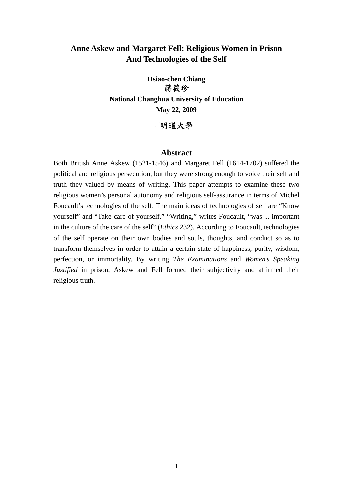# **Anne Askew and Margaret Fell: Religious Women in Prison And Technologies of the Self**

**Hsiao-chen Chiang**  蔣筱珍 **National Changhua University of Education May 22, 2009** 

## 明道大學

## **Abstract**

Both British Anne Askew (1521-1546) and Margaret Fell (1614-1702) suffered the political and religious persecution, but they were strong enough to voice their self and truth they valued by means of writing. This paper attempts to examine these two religious women's personal autonomy and religious self-assurance in terms of Michel Foucault's technologies of the self. The main ideas of technologies of self are "Know yourself" and "Take care of yourself." "Writing," writes Foucault, "was ... important in the culture of the care of the self" (*Ethics* 232). According to Foucault, technologies of the self operate on their own bodies and souls, thoughts, and conduct so as to transform themselves in order to attain a certain state of happiness, purity, wisdom, perfection, or immortality. By writing *The Examinations* and *Women's Speaking Justified* in prison, Askew and Fell formed their subjectivity and affirmed their religious truth.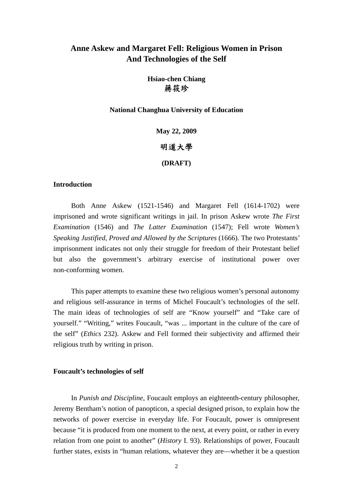# **Anne Askew and Margaret Fell: Religious Women in Prison And Technologies of the Self**

# **Hsiao-chen Chiang**  蔣筱珍

**National Changhua University of Education** 

**May 22, 2009** 

### 明道大學

**(DRAFT)** 

### **Introduction**

Both Anne Askew (1521-1546) and Margaret Fell (1614-1702) were imprisoned and wrote significant writings in jail. In prison Askew wrote *The First Examination* (1546) and *The Latter Examination* (1547); Fell wrote *Women's Speaking Justified, Proved and Allowed by the Scriptures* (1666). The two Protestants' imprisonment indicates not only their struggle for freedom of their Protestant belief but also the government's arbitrary exercise of institutional power over non-conforming women.

This paper attempts to examine these two religious women's personal autonomy and religious self-assurance in terms of Michel Foucault's technologies of the self. The main ideas of technologies of self are "Know yourself" and "Take care of yourself." "Writing," writes Foucault, "was ... important in the culture of the care of the self" (*Ethics* 232). Askew and Fell formed their subjectivity and affirmed their religious truth by writing in prison.

#### **Foucault's technologies of self**

In *Punish and Discipline*, Foucault employs an eighteenth-century philosopher, Jeremy Bentham's notion of panopticon, a special designed prison, to explain how the networks of power exercise in everyday life. For Foucault, power is omnipresent because "it is produced from one moment to the next, at every point, or rather in every relation from one point to another" (*History* I. 93). Relationships of power, Foucault further states, exists in "human relations, whatever they are—whether it be a question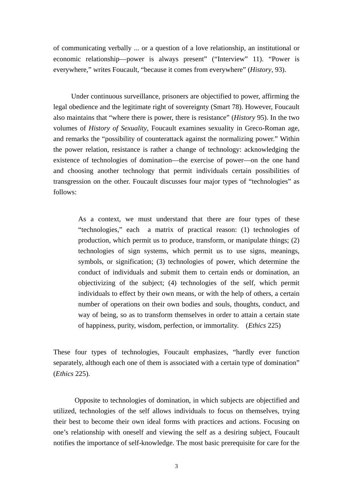of communicating verbally ... or a question of a love relationship, an institutional or economic relationship—power is always present" ("Interview" 11). "Power is everywhere," writes Foucault, "because it comes from everywhere" (*History*, 93).

 Under continuous surveillance, prisoners are objectified to power, affirming the legal obedience and the legitimate right of sovereignty (Smart 78). However, Foucault also maintains that "where there is power, there is resistance" (*History* 95). In the two volumes of *History of Sexuality*, Foucault examines sexuality in Greco-Roman age, and remarks the "possibility of counterattack against the normalizing power." Within the power relation, resistance is rather a change of technology: acknowledging the existence of technologies of domination—the exercise of power—on the one hand and choosing another technology that permit individuals certain possibilities of transgression on the other. Foucault discusses four major types of "technologies" as follows:

 As a context, we must understand that there are four types of these "technologies," each a matrix of practical reason: (1) technologies of production, which permit us to produce, transform, or manipulate things; (2) technologies of sign systems, which permit us to use signs, meanings, symbols, or signification; (3) technologies of power, which determine the conduct of individuals and submit them to certain ends or domination, an objectivizing of the subject; (4) technologies of the self, which permit individuals to effect by their own means, or with the help of others, a certain number of operations on their own bodies and souls, thoughts, conduct, and way of being, so as to transform themselves in order to attain a certain state of happiness, purity, wisdom, perfection, or immortality. (*Ethics* 225)

These four types of technologies, Foucault emphasizes, "hardly ever function separately, although each one of them is associated with a certain type of domination" (*Ethics* 225).

Opposite to technologies of domination, in which subjects are objectified and utilized, technologies of the self allows individuals to focus on themselves, trying their best to become their own ideal forms with practices and actions. Focusing on one's relationship with oneself and viewing the self as a desiring subject, Foucault notifies the importance of self-knowledge. The most basic prerequisite for care for the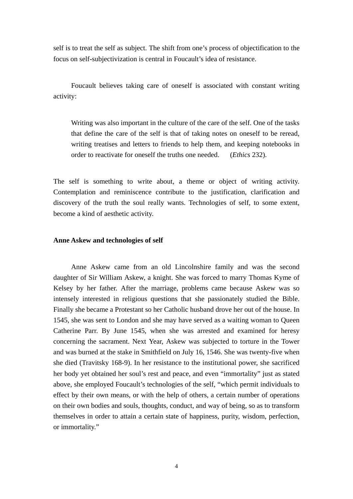self is to treat the self as subject. The shift from one's process of objectification to the focus on self-subjectivization is central in Foucault's idea of resistance.

Foucault believes taking care of oneself is associated with constant writing activity:

Writing was also important in the culture of the care of the self. One of the tasks that define the care of the self is that of taking notes on oneself to be reread, writing treatises and letters to friends to help them, and keeping notebooks in order to reactivate for oneself the truths one needed. (*Ethics* 232).

The self is something to write about, a theme or object of writing activity. Contemplation and reminiscence contribute to the justification, clarification and discovery of the truth the soul really wants. Technologies of self, to some extent, become a kind of aesthetic activity.

#### **Anne Askew and technologies of self**

 Anne Askew came from an old Lincolnshire family and was the second daughter of Sir William Askew, a knight. She was forced to marry Thomas Kyme of Kelsey by her father. After the marriage, problems came because Askew was so intensely interested in religious questions that she passionately studied the Bible. Finally she became a Protestant so her Catholic husband drove her out of the house. In 1545, she was sent to London and she may have served as a waiting woman to Queen Catherine Parr. By June 1545, when she was arrested and examined for heresy concerning the sacrament. Next Year, Askew was subjected to torture in the Tower and was burned at the stake in Smithfield on July 16, 1546. She was twenty-five when she died (Travitsky 168-9). In her resistance to the institutional power, she sacrificed her body yet obtained her soul's rest and peace, and even "immortality" just as stated above, she employed Foucault's technologies of the self, "which permit individuals to effect by their own means, or with the help of others, a certain number of operations on their own bodies and souls, thoughts, conduct, and way of being, so as to transform themselves in order to attain a certain state of happiness, purity, wisdom, perfection, or immortality."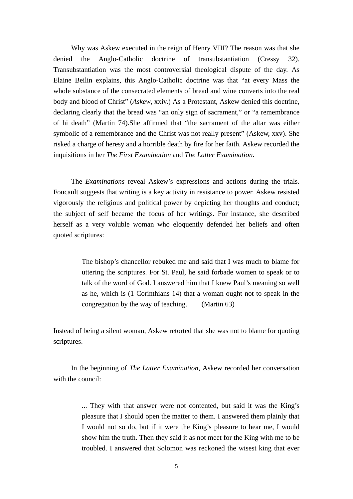Why was Askew executed in the reign of Henry VIII? The reason was that she denied the Anglo-Catholic doctrine of transubstantiation (Cressy 32). Transubstantiation was the most controversial theological dispute of the day. As Elaine Beilin explains, this Anglo-Catholic doctrine was that "at every Mass the whole substance of the consecrated elements of bread and wine converts into the real body and blood of Christ" (*Askew*, xxiv.) As a Protestant, Askew denied this doctrine, declaring clearly that the bread was "an only sign of sacrament," or "a remembrance of hi death" (Martin 74).She affirmed that "the sacrament of the altar was either symbolic of a remembrance and the Christ was not really present" (Askew, xxv). She risked a charge of heresy and a horrible death by fire for her faith. Askew recorded the inquisitions in her *The First Examination* and *The Latter Examination*.

 The *Examinations* reveal Askew's expressions and actions during the trials. Foucault suggests that writing is a key activity in resistance to power. Askew resisted vigorously the religious and political power by depicting her thoughts and conduct; the subject of self became the focus of her writings. For instance, she described herself as a very voluble woman who eloquently defended her beliefs and often quoted scriptures:

> The bishop's chancellor rebuked me and said that I was much to blame for uttering the scriptures. For St. Paul, he said forbade women to speak or to talk of the word of God. I answered him that I knew Paul's meaning so well as he, which is (1 Corinthians 14) that a woman ought not to speak in the congregation by the way of teaching. (Martin 63)

Instead of being a silent woman, Askew retorted that she was not to blame for quoting scriptures.

 In the beginning of *The Latter Examination*, Askew recorded her conversation with the council:

> ... They with that answer were not contented, but said it was the King's pleasure that I should open the matter to them. I answered them plainly that I would not so do, but if it were the King's pleasure to hear me, I would show him the truth. Then they said it as not meet for the King with me to be troubled. I answered that Solomon was reckoned the wisest king that ever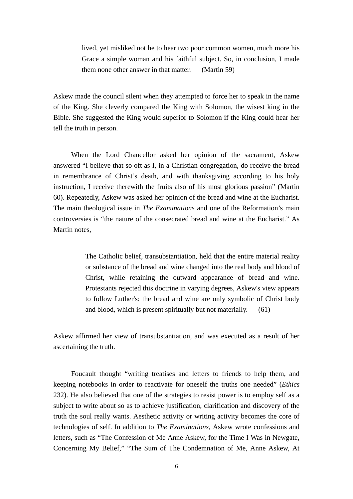lived, yet misliked not he to hear two poor common women, much more his Grace a simple woman and his faithful subject. So, in conclusion, I made them none other answer in that matter. (Martin 59)

Askew made the council silent when they attempted to force her to speak in the name of the King. She cleverly compared the King with Solomon, the wisest king in the Bible. She suggested the King would superior to Solomon if the King could hear her tell the truth in person.

 When the Lord Chancellor asked her opinion of the sacrament, Askew answered "I believe that so oft as I, in a Christian congregation, do receive the bread in remembrance of Christ's death, and with thanksgiving according to his holy instruction, I receive therewith the fruits also of his most glorious passion" (Martin 60). Repeatedly, Askew was asked her opinion of the bread and wine at the Eucharist. The main theological issue in *The Examinations* and one of the Reformation's main controversies is "the nature of the consecrated bread and wine at the Eucharist." As Martin notes,

> The Catholic belief, transubstantiation, held that the entire material reality or substance of the bread and wine changed into the real body and blood of Christ, while retaining the outward appearance of bread and wine. Protestants rejected this doctrine in varying degrees, Askew's view appears to follow Luther's: the bread and wine are only symbolic of Christ body and blood, which is present spiritually but not materially. (61)

Askew affirmed her view of transubstantiation, and was executed as a result of her ascertaining the truth.

Foucault thought "writing treatises and letters to friends to help them, and keeping notebooks in order to reactivate for oneself the truths one needed" (*Ethics* 232). He also believed that one of the strategies to resist power is to employ self as a subject to write about so as to achieve justification, clarification and discovery of the truth the soul really wants. Aesthetic activity or writing activity becomes the core of technologies of self. In addition to *The Examinations*, Askew wrote confessions and letters, such as "The Confession of Me Anne Askew, for the Time I Was in Newgate, Concerning My Belief," "The Sum of The Condemnation of Me, Anne Askew, At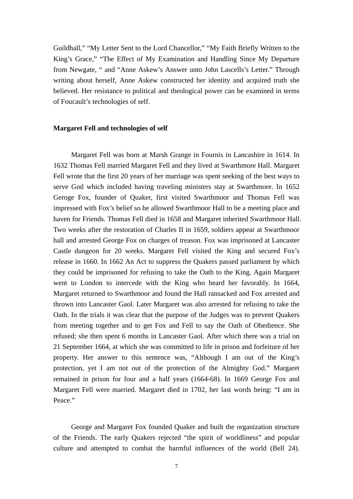Guildhall," "My Letter Sent to the Lord Chancellor," "My Faith Briefly Written to the King's Grace," "The Effect of My Examination and Handling Since My Departure from Newgate, " and "Anne Askew's Answer unto John Lascells's Letter." Through writing about herself, Anne Askew constructed her identity and acquired truth she believed. Her resistance to political and theological power can be examined in terms of Foucault's technologies of self.

#### **Margaret Fell and technologies of self**

Margaret Fell was born at Marsh Grange in Fournis in Lancashire in 1614. In 1632 Thomas Fell married Margaret Fell and they lived at Swarthmore Hall. Margaret Fell wrote that the first 20 years of her marriage was spent seeking of the best ways to serve God which included having traveling ministers stay at Swarthmore. In 1652 Geroge Fox, founder of Quaker, first visited Swarthmoor and Thomas Fell was impressed with Fox's belief so he allowed Swarthmoor Hall to be a meeting place and haven for Friends. Thomas Fell died in 1658 and Margaret inherited Swarthmoor Hall. Two weeks after the restoration of Charles II in 1659, soldiers appear at Swarthmoor hall and arrested George Fox on charges of treason. Fox was imprisoned at Lancaster Castle dungeon for 20 weeks. Margaret Fell visited the King and secured Fox's release in 1660. In 1662 An Act to suppress the Quakers passed parliament by which they could be imprisoned for refusing to take the Oath to the King. Again Margaret went to London to intercede with the King who heard her favorably. In 1664, Margaret returned to Swarthmoor and found the Hall ransacked and Fox arrested and thrown into Lancaster Gaol. Later Margaret was also arrested for refusing to take the Oath. In the trials it was clear that the purpose of the Judges was to prevent Quakers from meeting together and to get Fox and Fell to say the Oath of Obedience. She refused; she then spent 6 months in Lancaster Gaol. After which there was a trial on 21 September 1664, at which she was committed to life in prison and forfeiture of her property. Her answer to this sentence was, "Although I am out of the King's protection, yet I am not out of the protection of the Almighty God." Margaret remained in prison for four and a half years (1664-68). In 1669 George Fox and Margaret Fell were married. Margaret died in 1702, her last words being: "I am in Peace."

George and Margaret Fox founded Quaker and built the organization structure of the Friends. The early Quakers rejected "the spirit of worldliness" and popular culture and attempted to combat the harmful influences of the world (Bell 24).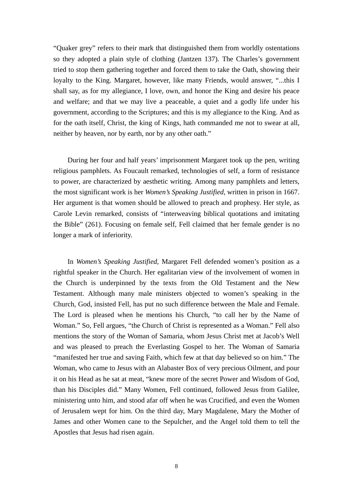"Quaker grey" refers to their mark that distinguished them from worldly ostentations so they adopted a plain style of clothing (Jantzen 137). The Charles's government tried to stop them gathering together and forced them to take the Oath, showing their loyalty to the King. Margaret, however, like many Friends, would answer, "...this I shall say, as for my allegiance, I love, own, and honor the King and desire his peace and welfare; and that we may live a peaceable, a quiet and a godly life under his government, according to the Scriptures; and this is my allegiance to the King. And as for the oath itself, Christ, the king of Kings, hath commanded me not to swear at all, neither by heaven, nor by earth, nor by any other oath."

 During her four and half years' imprisonment Margaret took up the pen, writing religious pamphlets. As Foucault remarked, technologies of self, a form of resistance to power, are characterized by aesthetic writing. Among many pamphlets and letters, the most significant work is her *Women's Speaking Justified*, written in prison in 1667. Her argument is that women should be allowed to preach and prophesy. Her style, as Carole Levin remarked, consists of "interweaving biblical quotations and imitating the Bible" (261). Focusing on female self, Fell claimed that her female gender is no longer a mark of inferiority.

 In *Women's Speaking Justified*, Margaret Fell defended women's position as a rightful speaker in the Church. Her egalitarian view of the involvement of women in the Church is underpinned by the texts from the Old Testament and the New Testament. Although many male ministers objected to women's speaking in the Church, God, insisted Fell, has put no such difference between the Male and Female. The Lord is pleased when he mentions his Church, "to call her by the Name of Woman." So, Fell argues, "the Church of Christ is represented as a Woman." Fell also mentions the story of the Woman of Samaria, whom Jesus Christ met at Jacob's Well and was pleased to preach the Everlasting Gospel to her. The Woman of Samaria "manifested her true and saving Faith, which few at that day believed so on him." The Woman, who came to Jesus with an Alabaster Box of very precious Oilment, and pour it on his Head as he sat at meat, "knew more of the secret Power and Wisdom of God, than his Disciples did." Many Women, Fell continued, followed Jesus from Galilee, ministering unto him, and stood afar off when he was Crucified, and even the Women of Jerusalem wept for him. On the third day, Mary Magdalene, Mary the Mother of James and other Women cane to the Sepulcher, and the Angel told them to tell the Apostles that Jesus had risen again.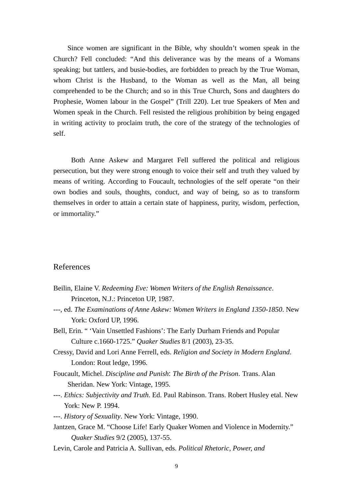Since women are significant in the Bible, why shouldn't women speak in the Church? Fell concluded: "And this deliverance was by the means of a Womans speaking; but tattlers, and busie-bodies, are forbidden to preach by the True Woman, whom Christ is the Husband, to the Woman as well as the Man, all being comprehended to be the Church; and so in this True Church, Sons and daughters do Prophesie, Women labour in the Gospel" (Trill 220). Let true Speakers of Men and Women speak in the Church. Fell resisted the religious prohibition by being engaged in writing activity to proclaim truth, the core of the strategy of the technologies of self.

 Both Anne Askew and Margaret Fell suffered the political and religious persecution, but they were strong enough to voice their self and truth they valued by means of writing. According to Foucault, technologies of the self operate "on their own bodies and souls, thoughts, conduct, and way of being, so as to transform themselves in order to attain a certain state of happiness, purity, wisdom, perfection, or immortality."

### References

- Beilin, Elaine V. *Redeeming Eve: Women Writers of the English Renaissance*. Princeton, N.J.: Princeton UP, 1987.
- ---, ed. *The Examinations of Anne Askew: Women Writers in England 1350-1850*. New York: Oxford UP, 1996.
- Bell, Erin. " 'Vain Unsettled Fashions': The Early Durham Friends and Popular Culture c.1660-1725." *Quaker Studies* 8/1 (2003), 23-35.
- Cressy, David and Lori Anne Ferrell, eds. *Religion and Society in Modern England*. London: Rout ledge, 1996.
- Foucault, Michel. *Discipline and Punish*: *The Birth of the Prison*. Trans. Alan Sheridan. New York: Vintage, 1995.
- ---. *Ethics: Subjectivity and Truth*. Ed. Paul Rabinson. Trans. Robert Husley etal. New York: New P. 1994.
- ---. *History of Sexuality*. New York: Vintage, 1990.
- Jantzen, Grace M. "Choose Life! Early Quaker Women and Violence in Modernity." *Quaker Studies* 9/2 (2005), 137-55.
- Levin, Carole and Patricia A. Sullivan, eds. *Political Rhetoric, Power, and*